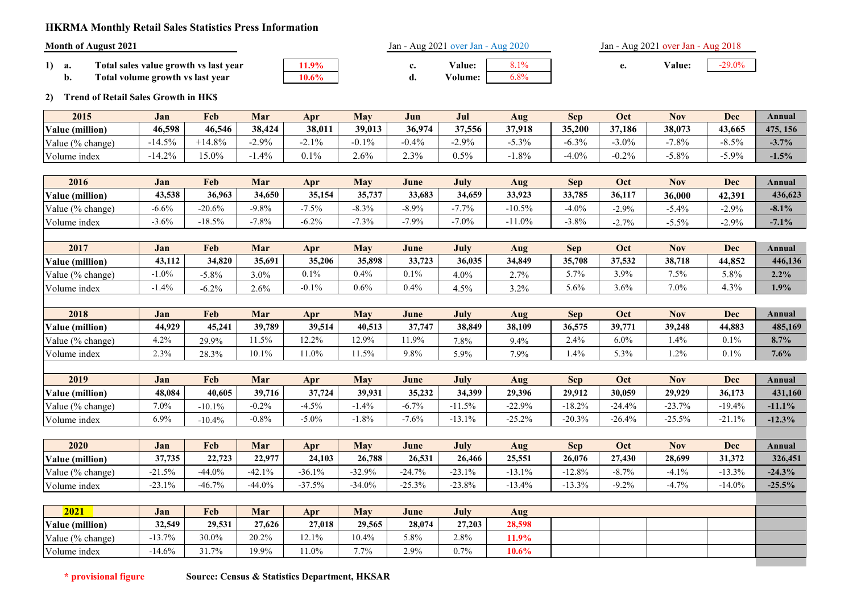## **HKRMA Monthly Retail Sales Statistics Press Information**

|    |     | <b>Month of August 2021</b>           |       | Jan - Aug 2021 over Jan - Aug 2020 |               |          | Jan - Aug 2021 over Jan - Aug 2018 |       |  |  |
|----|-----|---------------------------------------|-------|------------------------------------|---------------|----------|------------------------------------|-------|--|--|
| 1) | а.  | Total sales value growth vs last vear | 11.9% |                                    | <b>Value:</b> | $Q = 10$ | Value:                             | 29.0% |  |  |
|    | IJ. | Total volume growth vs last year      | 10.6% | u.                                 | /olume:       | 6.8%     |                                    |       |  |  |

# **2) Trend of Retail Sales Growth in HK\$**

| 2015             | Jan                | Feb      | Mar              | Apr          | <b>May</b> | Jun     | Jul     | Aug    | <b>Sep</b> | Oct      | <b>Nov</b> | <b>Dec</b> | Annual   |
|------------------|--------------------|----------|------------------|--------------|------------|---------|---------|--------|------------|----------|------------|------------|----------|
| Value (million)  | 46,598             | 46,546   | 38,424           | 38,011       | 39,013     | 36,974  | 37,556  | 37,918 | 35,200     | 37,186   | 38,073     | 43,665     | 475, 156 |
| Value (% change) | 4.50%<br>$-14.5$ . | $+14.8%$ | $2.9\%$<br>$-L.$ | $1\%$<br>- 1 | $0.1\%$    | $-0.4%$ | $-2.9%$ | 5.3%   | $-6.3%$    | $-3.0\%$ | $-7.8%$    | $\leq 0$   | $-3.7%$  |
| Volume index     | 1.20%<br>14.Z.     | 5.0%     | $.4\%$           | 0.1%         | 2.6%       | 2.3%    | 0.5%    | 1.8%   | $-4.0%$    | $-0.2\%$ | $-5.8%$    | 5.9%       | $-1.5%$  |

| 2016             | Jan      | Feb      | Mar      | Apr      | May      | June     | July   | Aug             | <b>Sep</b> | Oct                 | <b>Nov</b> | Dec                  | Annual  |
|------------------|----------|----------|----------|----------|----------|----------|--------|-----------------|------------|---------------------|------------|----------------------|---------|
| Value (million)  | 43,538   | 36.963   | 34.650   | 35,154   | 35,737   | 33,683   | 34,659 | 33,923          | 33,785     | 36,117              | 36,000     | $42,39$ <sup>+</sup> | 436,623 |
| Value (% change) | $-6.6\%$ | $-20.6%$ | $-9.8\%$ | $-7.5%$  | $-8.3\%$ | $-8.9\%$ | 7.7%   | $-10.5%$        | $-4.0%$    | $-2.9\%$            | $-5.4\%$   | $-2.9\%$             | $-8.1%$ |
| Volume index     | 3.6%     | $-18.5%$ | 7.8%     | $-6.2\%$ | 7.3%     | 7.9%     | 7.0%   | $-11.0%$        | $-3.8%$    | $2.7\%$<br>$-2.176$ | $-5.5%$    | $-2.9\%$             | $-7.1%$ |
|                  |          |          |          |          |          |          |        |                 |            |                     |            |                      |         |
| 2017             | .lan     | Feh      | Mar      | Anr      | Mav      | .lune    | July   | $A$ ll $\sigma$ | Sen.       | Oct                 | Nov        | Dec                  | Annual  |

| 2017                           | Jan     | <b>Feb</b>              | Mar     | Apr         | <b>May</b> | June   | July               | Aug                 | Sep      | Oct     | <b>NOV</b> | <b>Dec</b> | Annual  |
|--------------------------------|---------|-------------------------|---------|-------------|------------|--------|--------------------|---------------------|----------|---------|------------|------------|---------|
| $\epsilon$ (million)<br>Value, | 43,112  | 34,820                  | 35.691  | 35,206      | 35,898     | 33,723 | 36,035             | 34.849              | 35,708   | 37,532  | 38,718     | 44,852     | 446,136 |
| Value (% change)               | $1.0\%$ | 5.8%                    | $3.0\%$ | 0.1%        | $0.4\%$    | 0.1%   | $4.0\%$            | າ 70<br>، ،         | 70/<br>. | $3.9\%$ | 7.5%       | $5.8\%$    | 2.2%    |
| $\mathbf{r}$<br>Volume index   | $4.4\%$ | 20 <sub>0</sub><br>0.2. | 2.6%    | 10<br>V.I/L | $0.6\%$    | .4%    | 50/6<br>4<br>, ∪ ה | 20 <sub>4</sub><br> | 5.6%     | $5.6\%$ | 7.0%       | 3%<br>ر ۲۰ | 1.9%    |

| 2018             | Jan    | Feb            | Mar    | Apr            | May    | June   | July   | Aug    | Sep    | Oc      | Nov     | Dec     | Annual  |
|------------------|--------|----------------|--------|----------------|--------|--------|--------|--------|--------|---------|---------|---------|---------|
| Value (million)  | 44.929 | 45,241         | 39,789 | 39.514         | 40.513 | 37,747 | 38,849 | 38.109 | 36,575 | 39,771  | 39,248  | 14,883  | 485,169 |
| Value (% change) | 4.2%   | 29.9%          | 50/    | 2.20<br>14.47C | 12.9%  | 1.9%   | 7.8%   | 9.4%   | 2.4%   | $6.0\%$ | $.4\%$  | 0.1%    | 8.7%    |
| .<br>olume index | 7.30/  | 20.20<br>20.J7 | 10.1%  | $1.0\%$        | 50/    | 9.8%   | 5.9%   | 7.9%   | 1.4%   | 5.3%    | $1.2\%$ | $0.1\%$ | 7.6%    |

| 2019                | Jan    | Feb       | Mar                       | Apr        | <b>May</b> | June   | July            | Aug               | Sep                                  | <b>Oc</b>       | Nov              | Dec         | Annual   |
|---------------------|--------|-----------|---------------------------|------------|------------|--------|-----------------|-------------------|--------------------------------------|-----------------|------------------|-------------|----------|
| Value (million)     | 48,084 | 40.605    | 39,716                    | 37,724     | 39,931     | 35,232 | 34,399          | 29,396            | 29,912                               | 30,059          | 29,929           | 36,173      | 431,160  |
| Value (% change)    | 7.0%   | $-10.1\%$ | 20 <sub>6</sub><br>V.∠ ⁄0 | 50<br>. ب. | $1.4\%$    | 70/    | $1.5\%$<br>11.J | 22.9%             | $^{\circ}$ 20 $^{\circ}$<br>$-10.2.$ | $-24.4%$        | 22.70<br>$-23.7$ | 19.4%       | $-11.1%$ |
| $ -$<br>olume index | 6.9%   | $-10.4\%$ | $-0.8\%$                  | 5.0%       | $0.8\%$    | 7.6%   | 12.10<br>19.1   | 25.20%<br>، ے . ب | $-20.3%$                             | 26.40<br>-26.4% | $-25.5%$         | 10/<br>-41. | $-12.3%$ |

| 2020                        | Jan      | Feb       | Mar                | Apr                | <b>May</b>        | June     | July      | Aug    | Sep      | Oct      | <b>Nov</b>    | Dec      | Annual   |
|-----------------------------|----------|-----------|--------------------|--------------------|-------------------|----------|-----------|--------|----------|----------|---------------|----------|----------|
| Value (million)             | 37,735   | 22,723    | 22,977             | 24,103             | 26,788            | 26,531   | 26.466    | 25,551 | 26,076   | 27,430   | 28,699        | 31,372   | 326,451  |
| Value (% change)            | 50/      | $-44.0\%$ | $42.1\%$<br>-42.1. | $-36.1%$           | 32.90%<br>$-32.5$ | $-24.7%$ | $-23.1\%$ | 13.1%  | $-12.8%$ | $-8.7\%$ | 10/<br>$-4.1$ | 13.3%    | $-24.3%$ |
| $\mathbf{r}$<br>olume index | $-23.1%$ | $-46.7%$  | $-44.0%$           | 27.50/<br>$-5/0.5$ | $-34.0%$          | $-25.3%$ | $-23.8%$  | 13.4%  | $-13.3%$ | $9.2\%$  | 70/           | $-14.0%$ | $-25.5%$ |

| 2021             | Jan      | Feb    | Mar    | Apr     | <b>May</b> | June   | July    | Aug      |  |  |
|------------------|----------|--------|--------|---------|------------|--------|---------|----------|--|--|
| Value (million)  | 32,549   | 29.531 | 27,626 | 27,018  | 29,565     | 28,074 | 27,203  | 28,598   |  |  |
| Value (% change) | 13.7%    | 30.0%  | 20.2%  | 12.1%   | 10.4%      | 5.8%   | $2.8\%$ | 11.9%    |  |  |
| Volume index     | $-14.6%$ | 1.7%   | 19.9%  | $1.0\%$ | $7.7\%$    | 2.9%   | $0.7\%$ | $10.6\%$ |  |  |
|                  |          |        |        |         |            |        |         |          |  |  |